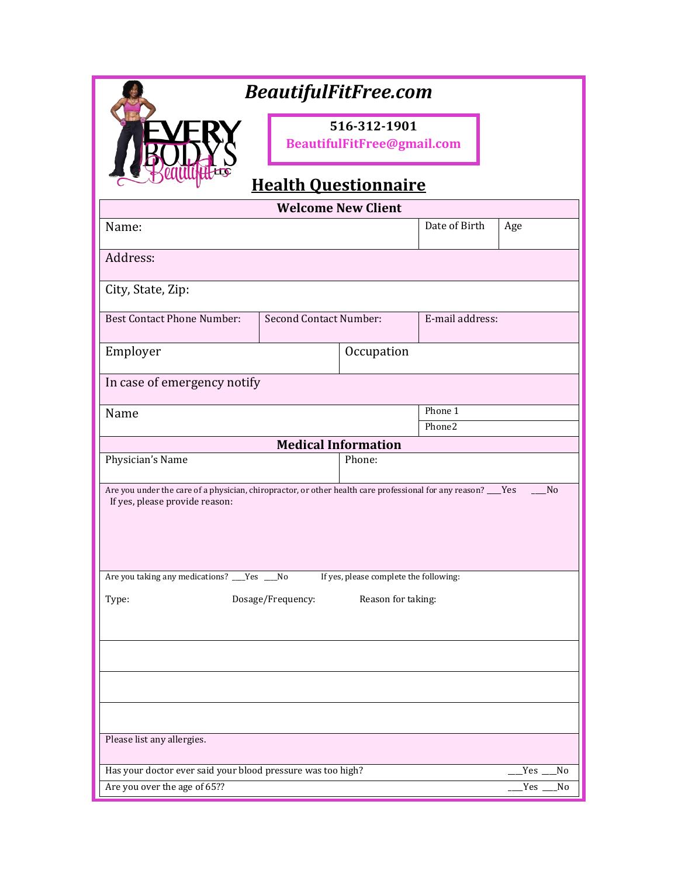| <b>BeautifulFitFree.com</b>                                                                                                                     |                               |                                            |                   |                   |
|-------------------------------------------------------------------------------------------------------------------------------------------------|-------------------------------|--------------------------------------------|-------------------|-------------------|
|                                                                                                                                                 |                               | 516-312-1901<br>BeautifulFitFree@gmail.com |                   |                   |
|                                                                                                                                                 | <b>Health Questionnaire</b>   |                                            |                   |                   |
|                                                                                                                                                 |                               | <b>Welcome New Client</b>                  |                   |                   |
| Name:                                                                                                                                           |                               |                                            | Date of Birth     | Age               |
| Address:                                                                                                                                        |                               |                                            |                   |                   |
| City, State, Zip:                                                                                                                               |                               |                                            |                   |                   |
| <b>Best Contact Phone Number:</b>                                                                                                               | <b>Second Contact Number:</b> |                                            | E-mail address:   |                   |
| Employer                                                                                                                                        | Occupation                    |                                            |                   |                   |
| In case of emergency notify                                                                                                                     |                               |                                            |                   |                   |
| Name                                                                                                                                            |                               |                                            | Phone 1<br>Phone2 |                   |
|                                                                                                                                                 |                               | <b>Medical Information</b>                 |                   |                   |
| Physician's Name                                                                                                                                |                               | Phone:                                     |                   |                   |
| Are you under the care of a physician, chiropractor, or other health care professional for any reason? ___Yes<br>If yes, please provide reason: |                               |                                            |                   | N <sub>0</sub>    |
| Are you taking any medications? ___Yes ___No                                                                                                    |                               | If yes, please complete the following:     |                   |                   |
| Dosage/Frequency:<br>Reason for taking:<br>Type:                                                                                                |                               |                                            |                   |                   |
|                                                                                                                                                 |                               |                                            |                   |                   |
|                                                                                                                                                 |                               |                                            |                   |                   |
|                                                                                                                                                 |                               |                                            |                   |                   |
| Please list any allergies.                                                                                                                      |                               |                                            |                   |                   |
| Has your doctor ever said your blood pressure was too high?                                                                                     |                               |                                            |                   | <b>Yes</b><br>No  |
| Are you over the age of 65??                                                                                                                    |                               |                                            |                   | <b>Yes</b><br>No. |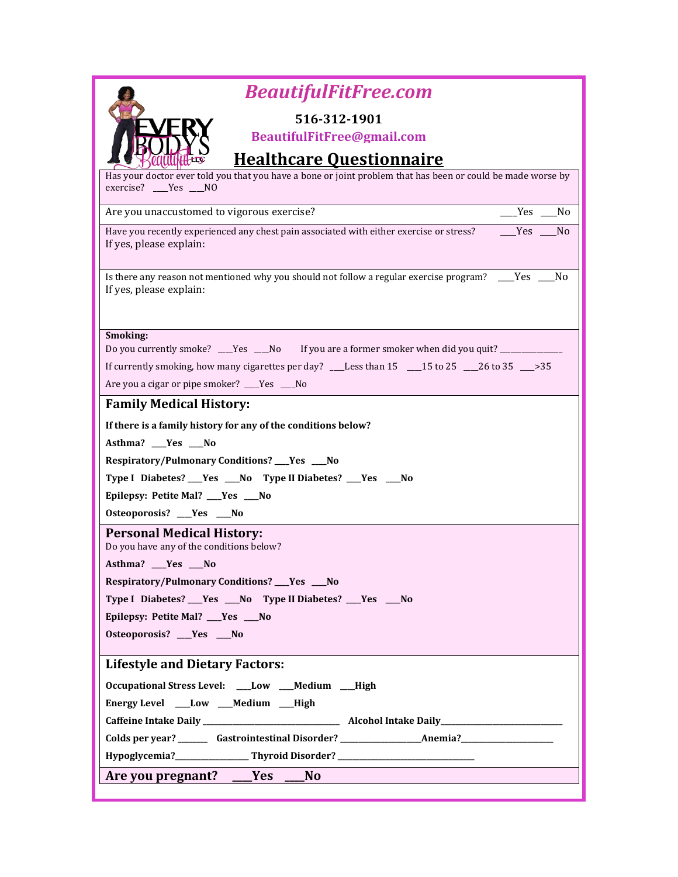| <b>BeautifulFitFree.com</b>                                                                                      |
|------------------------------------------------------------------------------------------------------------------|
| 516-312-1901                                                                                                     |
| BeautifulFitFree@gmail.com                                                                                       |
| <b>Healthcare Questionnaire</b>                                                                                  |
| Has your doctor ever told you that you have a bone or joint problem that has been or could be made worse by      |
| exercise? ___Yes __NO                                                                                            |
| Are you unaccustomed to vigorous exercise?<br>Yes No                                                             |
| Yes<br>Have you recently experienced any chest pain associated with either exercise or stress?<br>N <sub>o</sub> |
| If yes, please explain:                                                                                          |
| Is there any reason not mentioned why you should not follow a regular exercise program? ____Yes ____No           |
| If yes, please explain:                                                                                          |
|                                                                                                                  |
|                                                                                                                  |
| Smoking:<br>Do you currently smoke? ___Yes ___No If you are a former smoker when did you quit? ________________  |
| If currently smoking, how many cigarettes per day? ___Less than 15 ____15 to 25 ____26 to 35 ___>35              |
| Are you a cigar or pipe smoker? ___Yes ___No                                                                     |
| <b>Family Medical History:</b>                                                                                   |
|                                                                                                                  |
| If there is a family history for any of the conditions below?<br>Asthma? __Yes __No                              |
| Respiratory/Pulmonary Conditions? ___ Yes ___ No                                                                 |
| Type I Diabetes? ___ Yes ___ No Type II Diabetes? ___ Yes ___ No                                                 |
| Epilepsy: Petite Mal? ___Yes ___No                                                                               |
| Osteoporosis? __Yes __No                                                                                         |
| <b>Personal Medical History:</b>                                                                                 |
| Do you have any of the conditions below?                                                                         |
| Asthma? __Yes _<br>No_                                                                                           |
| Respiratory/Pulmonary Conditions? ___ Yes ___ No                                                                 |
| Type I Diabetes? ___ Yes ___ No Type II Diabetes? ___ Yes ___ No                                                 |
| Epilepsy: Petite Mal? ___Yes ___No                                                                               |
| Osteoporosis? __Yes __No                                                                                         |
| <b>Lifestyle and Dietary Factors:</b>                                                                            |
| Occupational Stress Level: ___Low ___Medium __High                                                               |
| Energy Level ___Low ___Medium ___High                                                                            |
|                                                                                                                  |
|                                                                                                                  |
| Hypoglycemia?___________________Thyroid Disorder? ______________________________                                 |
| Are you pregnant? ___Yes ___<br><b>No</b>                                                                        |
|                                                                                                                  |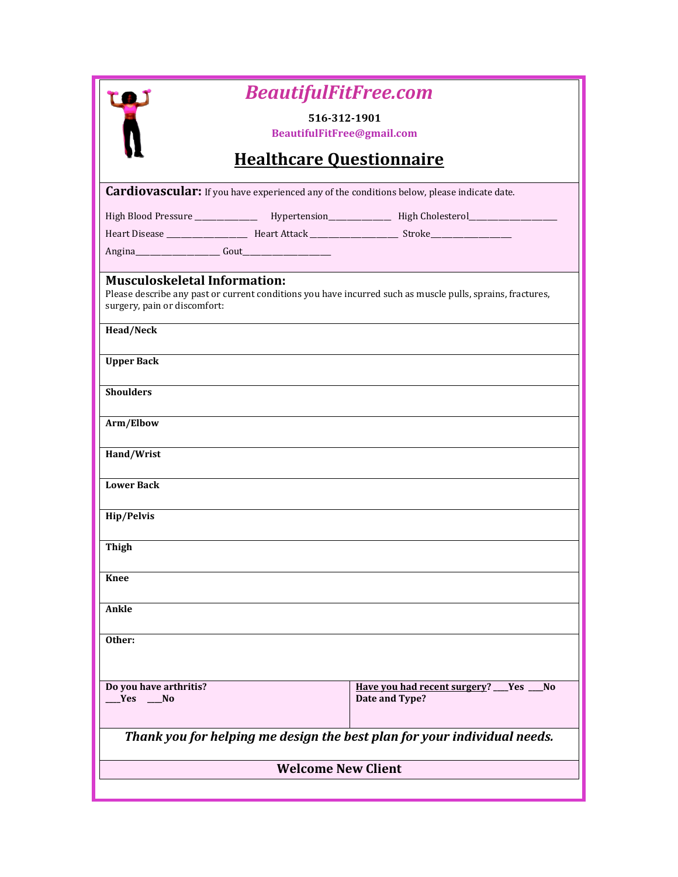|                                                                                            | <b>BeautifulFitFree.com</b>     |                                                                                                            |
|--------------------------------------------------------------------------------------------|---------------------------------|------------------------------------------------------------------------------------------------------------|
|                                                                                            | 516-312-1901                    |                                                                                                            |
|                                                                                            | BeautifulFitFree@gmail.com      |                                                                                                            |
|                                                                                            | <b>Healthcare Questionnaire</b> |                                                                                                            |
| Cardiovascular: If you have experienced any of the conditions below, please indicate date. |                                 |                                                                                                            |
|                                                                                            |                                 | High Blood Pressure _______________ Hypertension_______________ High Cholesterol___________________        |
|                                                                                            |                                 |                                                                                                            |
|                                                                                            |                                 |                                                                                                            |
| <b>Musculoskeletal Information:</b><br>surgery, pain or discomfort:<br><b>Head/Neck</b>    |                                 | Please describe any past or current conditions you have incurred such as muscle pulls, sprains, fractures, |
| <b>Upper Back</b>                                                                          |                                 |                                                                                                            |
| <b>Shoulders</b>                                                                           |                                 |                                                                                                            |
| Arm/Elbow                                                                                  |                                 |                                                                                                            |
| Hand/Wrist                                                                                 |                                 |                                                                                                            |
| <b>Lower Back</b>                                                                          |                                 |                                                                                                            |
| Hip/Pelvis                                                                                 |                                 |                                                                                                            |
| <b>Thigh</b>                                                                               |                                 |                                                                                                            |
| <b>Knee</b>                                                                                |                                 |                                                                                                            |
| Ankle                                                                                      |                                 |                                                                                                            |
| Other:                                                                                     |                                 |                                                                                                            |
| Do you have arthritis?<br>$Yes$ No                                                         |                                 | Have you had recent surgery? Ves<br>N <sub>0</sub><br>Date and Type?                                       |
| Thank you for helping me design the best plan for your individual needs.                   |                                 |                                                                                                            |
| <b>Welcome New Client</b>                                                                  |                                 |                                                                                                            |
|                                                                                            |                                 |                                                                                                            |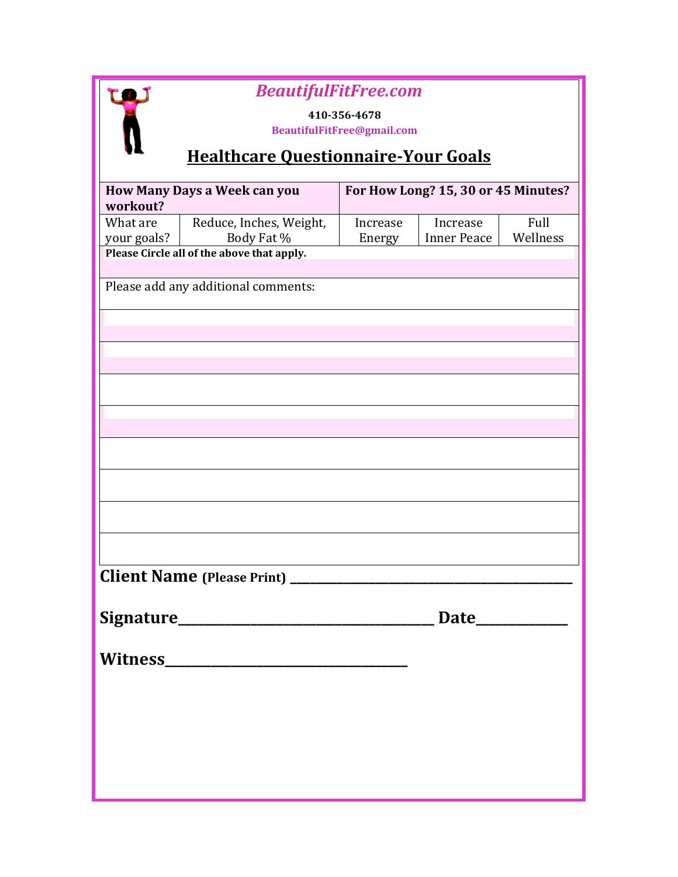## *BeautifulFitFree.com*

**410-356-4678**

**BeautifulFitFree@gmail.com**

## **Healthcare Questionnaire-Your Goals**

|             | How Many Days a Week can you               |          | For How Long? 15, 30 or 45 Minutes? |          |
|-------------|--------------------------------------------|----------|-------------------------------------|----------|
| workout?    |                                            |          |                                     |          |
| What are    | Reduce, Inches, Weight,                    | Increase | Increase                            | Full     |
| your goals? | Body Fat %                                 | Energy   | Inner Peace                         | Wellness |
|             | Please Circle all of the above that apply. |          |                                     |          |
|             |                                            |          |                                     |          |
|             | Please add any additional comments:        |          |                                     |          |
|             |                                            |          |                                     |          |
|             |                                            |          |                                     |          |
|             |                                            |          |                                     |          |
|             |                                            |          |                                     |          |
|             |                                            |          |                                     |          |
|             |                                            |          |                                     |          |
|             |                                            |          |                                     |          |
|             |                                            |          |                                     |          |
|             |                                            |          |                                     |          |
|             |                                            |          |                                     |          |
|             |                                            |          |                                     |          |
|             |                                            |          |                                     |          |
|             |                                            |          |                                     |          |
|             |                                            |          |                                     |          |
|             |                                            |          |                                     |          |
|             |                                            |          |                                     |          |
|             |                                            |          |                                     |          |
|             |                                            |          |                                     |          |
|             |                                            |          |                                     |          |
|             |                                            |          |                                     |          |
| Witness_    |                                            |          |                                     |          |
|             |                                            |          |                                     |          |
|             |                                            |          |                                     |          |
|             |                                            |          |                                     |          |
|             |                                            |          |                                     |          |
|             |                                            |          |                                     |          |
|             |                                            |          |                                     |          |
|             |                                            |          |                                     |          |